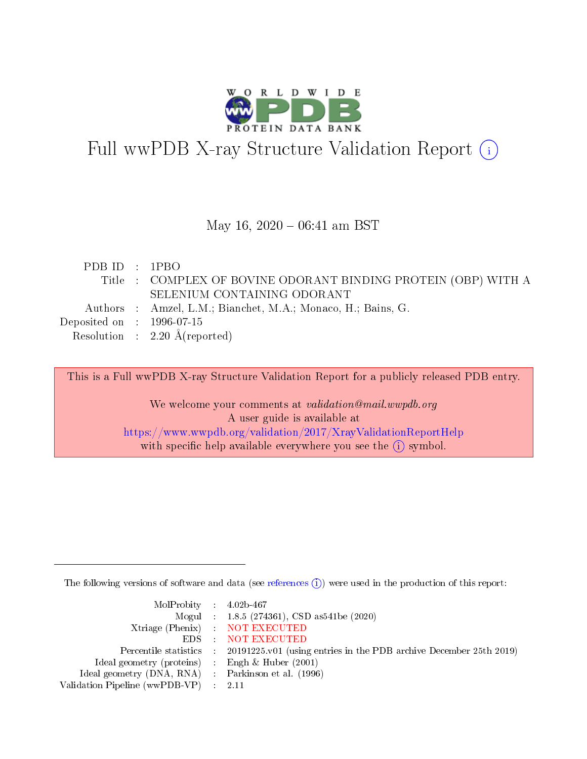

# Full wwPDB X-ray Structure Validation Report (i)

#### May 16,  $2020 - 06:41$  am BST

| PDB ID : 1PBO                        |                                                                |
|--------------------------------------|----------------------------------------------------------------|
|                                      | Title : COMPLEX OF BOVINE ODORANT BINDING PROTEIN (OBP) WITH A |
|                                      | SELENIUM CONTAINING ODORANT                                    |
|                                      | Authors : Amzel, L.M.; Bianchet, M.A.; Monaco, H.; Bains, G.   |
| Deposited on $\therefore$ 1996-07-15 |                                                                |
|                                      | Resolution : $2.20 \text{ Å}$ (reported)                       |

This is a Full wwPDB X-ray Structure Validation Report for a publicly released PDB entry.

We welcome your comments at validation@mail.wwpdb.org A user guide is available at <https://www.wwpdb.org/validation/2017/XrayValidationReportHelp> with specific help available everywhere you see the  $(i)$  symbol.

The following versions of software and data (see [references](https://www.wwpdb.org/validation/2017/XrayValidationReportHelp#references)  $(i)$ ) were used in the production of this report:

| $MolProbability$ 4.02b-467                          |                                                                                            |
|-----------------------------------------------------|--------------------------------------------------------------------------------------------|
|                                                     | Mogul : $1.8.5$ (274361), CSD as 541be (2020)                                              |
|                                                     | Xtriage (Phenix) NOT EXECUTED                                                              |
|                                                     | EDS NOT EXECUTED                                                                           |
|                                                     | Percentile statistics : 20191225.v01 (using entries in the PDB archive December 25th 2019) |
| Ideal geometry (proteins) :                         | Engh & Huber $(2001)$                                                                      |
| Ideal geometry (DNA, RNA) : Parkinson et al. (1996) |                                                                                            |
| Validation Pipeline (wwPDB-VP)                      | - 2.11                                                                                     |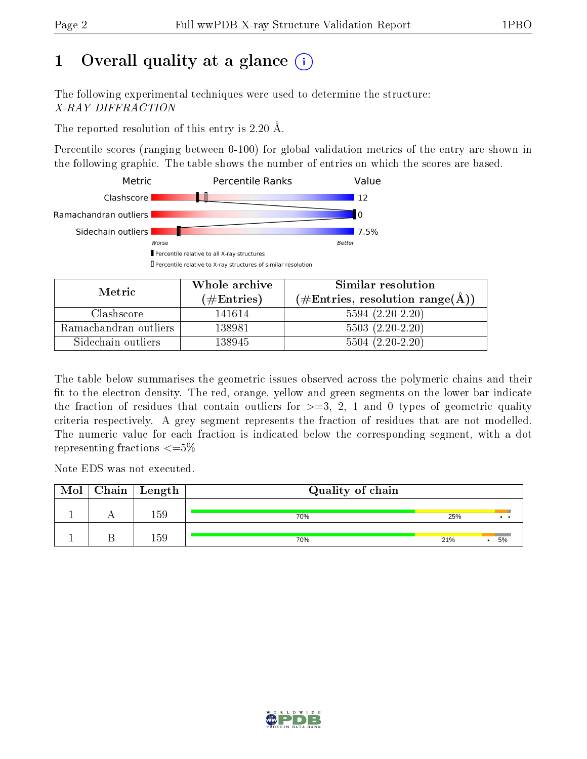# 1 [O](https://www.wwpdb.org/validation/2017/XrayValidationReportHelp#overall_quality)verall quality at a glance  $(i)$

The following experimental techniques were used to determine the structure: X-RAY DIFFRACTION

The reported resolution of this entry is 2.20 Å.

Percentile scores (ranging between 0-100) for global validation metrics of the entry are shown in the following graphic. The table shows the number of entries on which the scores are based.



| Metric                | Whole archive        | Similar resolution                                         |  |  |
|-----------------------|----------------------|------------------------------------------------------------|--|--|
|                       | $(\#\text{Entries})$ | $(\#\text{Entries}, \text{resolution range}(\text{\AA}) )$ |  |  |
| Clashscore            | 141614               | $5594(2.20-2.20)$                                          |  |  |
| Ramachandran outliers | 138981               | $5503(2.20-2.20)$                                          |  |  |
| Sidechain outliers    | 138945               | $5504(2.20-2.20)$                                          |  |  |

The table below summarises the geometric issues observed across the polymeric chains and their fit to the electron density. The red, orange, yellow and green segments on the lower bar indicate the fraction of residues that contain outliers for  $\geq=3$ , 2, 1 and 0 types of geometric quality criteria respectively. A grey segment represents the fraction of residues that are not modelled. The numeric value for each fraction is indicated below the corresponding segment, with a dot representing fractions  $\leq=5\%$ 

Note EDS was not executed.

| Mol | $Chain \  Length$ | Quality of chain |     |    |  |  |
|-----|-------------------|------------------|-----|----|--|--|
|     | 59                | 70%              | 25% |    |  |  |
|     | .59               | 70%              | 21% | 5% |  |  |

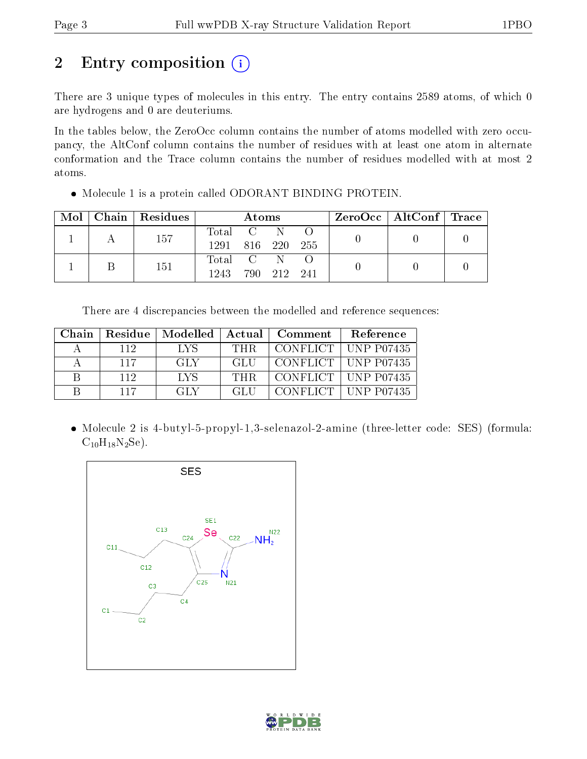# 2 Entry composition (i)

There are 3 unique types of molecules in this entry. The entry contains 2589 atoms, of which 0 are hydrogens and 0 are deuteriums.

In the tables below, the ZeroOcc column contains the number of atoms modelled with zero occupancy, the AltConf column contains the number of residues with at least one atom in alternate conformation and the Trace column contains the number of residues modelled with at most 2 atoms.

| Mol | Chain | Residues | Atoms            |  |         |      | ZeroOcc   AltConf   Trace |  |  |
|-----|-------|----------|------------------|--|---------|------|---------------------------|--|--|
|     |       | 157      | Total C          |  | N       |      |                           |  |  |
|     |       |          | 1291 816 220 255 |  |         |      |                           |  |  |
|     |       | 151      | Total C          |  |         |      |                           |  |  |
|     |       |          | 1243             |  | 790 212 | -241 |                           |  |  |

Molecule 1 is a protein called ODORANT BINDING PROTEIN.

There are 4 discrepancies between the modelled and reference sequences:

| Chain | Residue | Modelled   Actual |            | $\blacksquare$ Comment | Reference             |
|-------|---------|-------------------|------------|------------------------|-----------------------|
|       | 112     | T.VS              | THR.       |                        | CONFLICT   UNP P07435 |
|       | 117     | GLY               | GL U       |                        | CONFLICT   UNP P07435 |
| R     | 112     | <b>LVS</b>        | <b>THR</b> |                        | CONFLICT   UNP P07435 |
|       | 117     | GLY.              | GLIL       |                        | CONFLICT   UNP P07435 |

 Molecule 2 is 4-butyl-5-propyl-1,3-selenazol-2-amine (three-letter code: SES) (formula:  $C_{10}H_{18}N_2Se$ ).



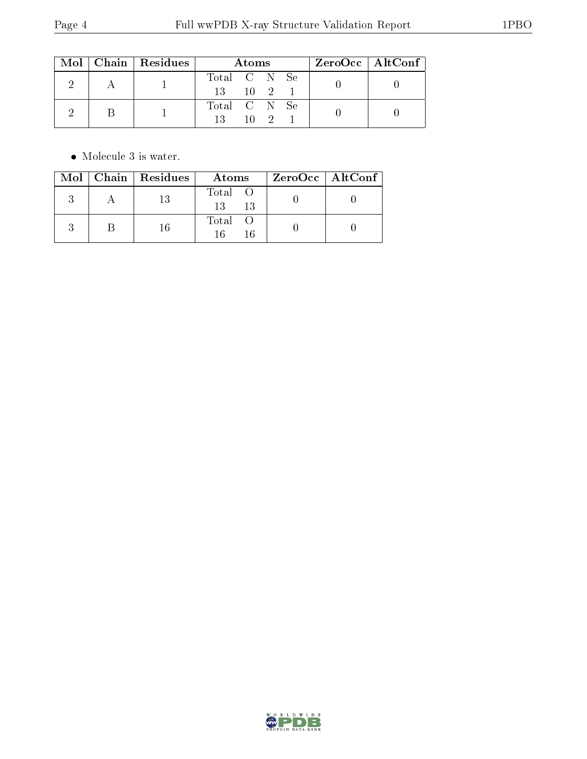|  | $\text{Mol}$   Chain   Residues | Atoms                |          |  |  | ZeroOcc   AltConf |
|--|---------------------------------|----------------------|----------|--|--|-------------------|
|  |                                 | Total C N Se         |          |  |  |                   |
|  |                                 | $13 \t 10 \t 2 \t 1$ |          |  |  |                   |
|  |                                 | Total C N Se<br>13   | $10^{9}$ |  |  |                   |

 $\bullet\,$  Molecule 3 is water.

| Mol | $\vert$ Chain $\vert$ Residues | Atoms               | ZeroOcc   AltConf |
|-----|--------------------------------|---------------------|-------------------|
|     | 13                             | Total O<br>13<br>13 |                   |
|     | 16                             | Total               |                   |

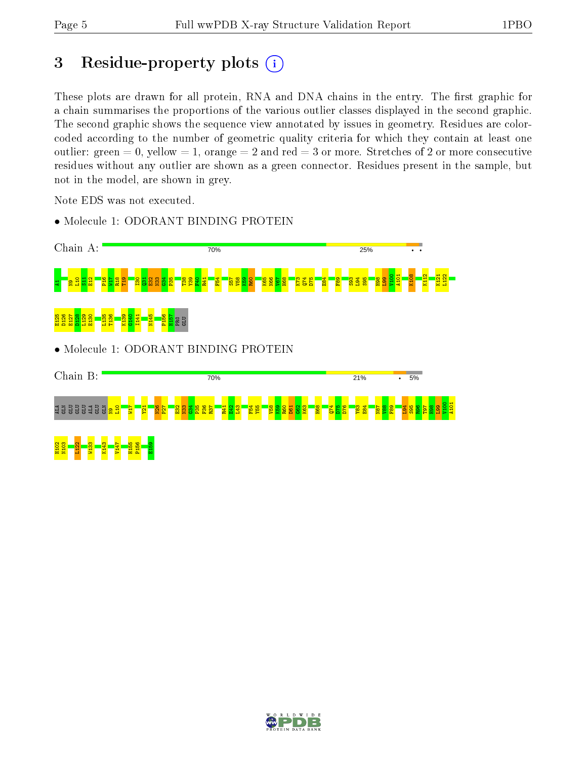# 3 Residue-property plots  $(i)$

These plots are drawn for all protein, RNA and DNA chains in the entry. The first graphic for a chain summarises the proportions of the various outlier classes displayed in the second graphic. The second graphic shows the sequence view annotated by issues in geometry. Residues are colorcoded according to the number of geometric quality criteria for which they contain at least one outlier: green  $= 0$ , yellow  $= 1$ , orange  $= 2$  and red  $= 3$  or more. Stretches of 2 or more consecutive residues without any outlier are shown as a green connector. Residues present in the sample, but not in the model, are shown in grey.

Note EDS was not executed.



• Molecule 1: ODORANT BINDING PROTEIN

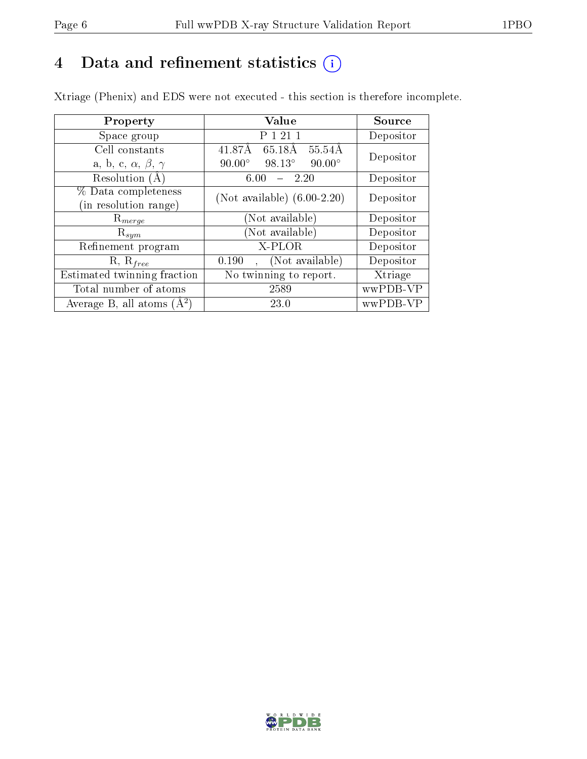# 4 Data and refinement statistics  $(i)$

Xtriage (Phenix) and EDS were not executed - this section is therefore incomplete.

| Property                               | Value                                             | Source    |  |
|----------------------------------------|---------------------------------------------------|-----------|--|
| Space group                            | P 1 21 1                                          | Depositor |  |
| Cell constants                         | $\overline{65.18A}$<br>$55.54\AA$<br>41.87Å       | Depositor |  |
| a, b, c, $\alpha$ , $\beta$ , $\gamma$ | $98.13^{\circ}$<br>$90.00^\circ$<br>$90.00^\circ$ |           |  |
| Resolution (A)                         | 6.00<br>- 2.20                                    | Depositor |  |
| % Data completeness                    | (Not available) $(6.00-2.20)$                     | Depositor |  |
| in resolution range)                   |                                                   |           |  |
| $\mathrm{R}_{merge}$                   | (Not available)                                   | Depositor |  |
| $\mathrm{R}_{sym}$                     | (Not available)                                   | Depositor |  |
| Refinement program                     | X-PLOR                                            | Depositor |  |
| $R, R_{free}$                          | (Not available)<br>0.190                          | Depositor |  |
| Estimated twinning fraction            | No twinning to report.                            | Xtriage   |  |
| Total number of atoms                  | 2589                                              | wwPDB-VP  |  |
| Average B, all atoms $(A^2)$           | 23.0                                              | wwPDB-VP  |  |

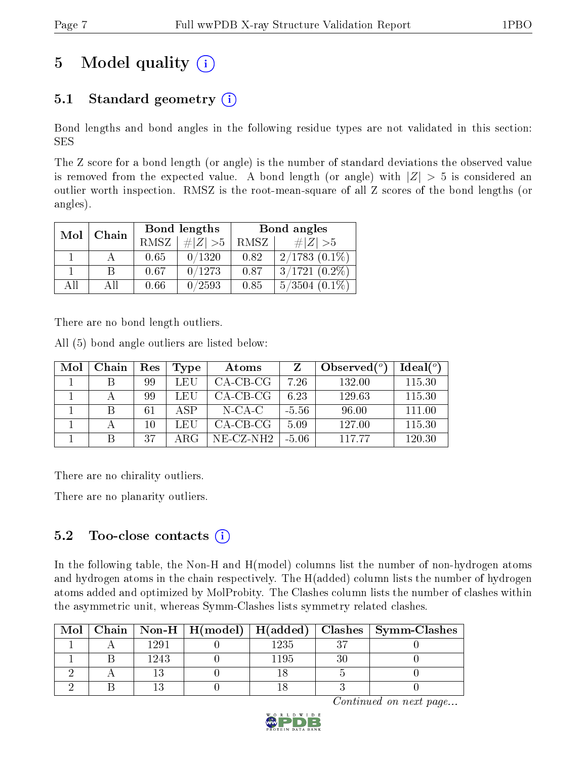# 5 Model quality  $(i)$

## 5.1 Standard geometry  $(i)$

Bond lengths and bond angles in the following residue types are not validated in this section: SES

The Z score for a bond length (or angle) is the number of standard deviations the observed value is removed from the expected value. A bond length (or angle) with  $|Z| > 5$  is considered an outlier worth inspection. RMSZ is the root-mean-square of all Z scores of the bond lengths (or angles).

| Mol | Chain |             | Bond lengths | Bond angles |                    |  |
|-----|-------|-------------|--------------|-------------|--------------------|--|
|     |       | <b>RMSZ</b> | $\# Z  > 5$  | RMSZ        | # $ Z  > 5$        |  |
|     |       | 0.65        | 0/1320       | 0.82        | $2/1783$ $(0.1\%)$ |  |
|     | B     | 0.67        | 0/1273       | 0.87        | $3/1721(0.2\%)$    |  |
| AĦ  | АH    | 0.66        | 0/2593       | 0.85        | $5/3504$ $(0.1\%)$ |  |

There are no bond length outliers.

All (5) bond angle outliers are listed below:

| Mol | Chain | Res | Type | <b>Atoms</b> |         | Observed $(°)$ | $Ideal(^o)$ |
|-----|-------|-----|------|--------------|---------|----------------|-------------|
|     |       | 99  | LEU  | $CA-CB-CG$   | 7.26    | 132.00         | 115.30      |
|     |       | 99  | LEU  | $CA-CB-CG$   | 6.23    | 129.63         | 115.30      |
|     |       | 61  | A SP | N-CA-C       | $-5.56$ | 96.00          | 111.00      |
|     |       | 10  | LEU  | $CA-CB-CG$   | 5.09    | 127.00         | 115.30      |
|     |       | 37  | ARG  | NE-CZ-NH2    | $-5.06$ | 11777          | 120.30      |

There are no chirality outliers.

There are no planarity outliers.

### 5.2 Too-close contacts (i)

In the following table, the Non-H and H(model) columns list the number of non-hydrogen atoms and hydrogen atoms in the chain respectively. The H(added) column lists the number of hydrogen atoms added and optimized by MolProbity. The Clashes column lists the number of clashes within the asymmetric unit, whereas Symm-Clashes lists symmetry related clashes.

| Mol |      |      | Chain   Non-H   H(model)   H(added)   Clashes   Symm-Clashes |
|-----|------|------|--------------------------------------------------------------|
|     | 1991 | 1235 |                                                              |
|     | 1243 | 1195 |                                                              |
|     |      |      |                                                              |
|     |      |      |                                                              |

Continued on next page...

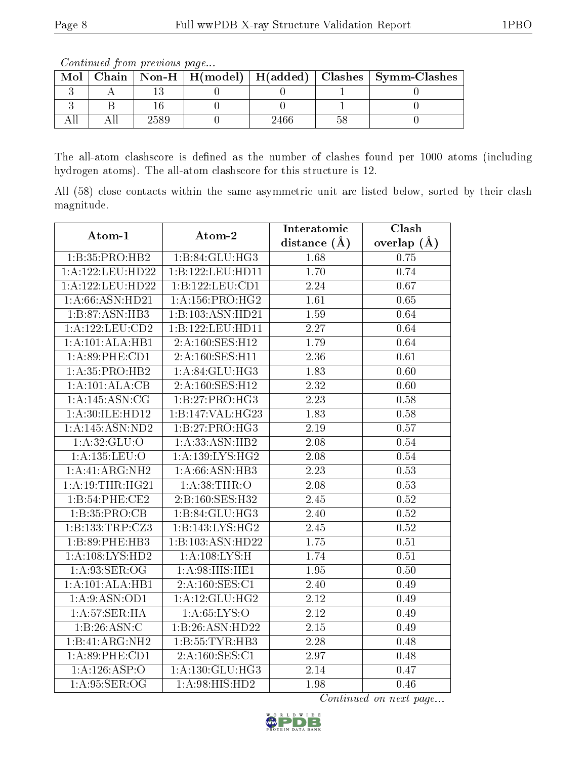Continued from previous page...

| Mol |  |     | Chain   Non-H   H(model)   H(added)   Clashes   Symm-Clashes |
|-----|--|-----|--------------------------------------------------------------|
|     |  |     |                                                              |
|     |  |     |                                                              |
|     |  | 466 |                                                              |

The all-atom clashscore is defined as the number of clashes found per 1000 atoms (including hydrogen atoms). The all-atom clashscore for this structure is 12.

All (58) close contacts within the same asymmetric unit are listed below, sorted by their clash magnitude.

| Atom-1                             | Atom-2              | Interatomic       | $\overline{\text{Clash}}$ |
|------------------------------------|---------------------|-------------------|---------------------------|
|                                    |                     | distance $(A)$    | overlap $(\AA)$           |
| 1:B:35:PRO:HB2                     | 1:B:84:GLU:HG3      | 1.68              | 0.75                      |
| 1:A:122:LEU:HD22                   | 1:B:122:LEU:HD11    | 1.70              | 0.74                      |
| 1:A:122:LEU:HD22                   | 1:B:122:LEU:CD1     | 2.24              | 0.67                      |
| $1: A:66: \overline{ASN:HD21}$     | 1: A: 156: PRO:HG2  | 1.61              | 0.65                      |
| 1:B:87:ASN:HB3                     | 1:B:103:ASN:HD21    | 1.59              | 0.64                      |
| 1:A:122:LEU:CD2                    | 1:B:122:LEU:HD11    | 2.27              | 0.64                      |
| 1:A:101:ALA:HB1                    | 2:A:160:SES:H12     | 1.79              | 0.64                      |
| 1:A:89:PHE:CD1                     | 2:A:160:SES:H11     | 2.36              | 0.61                      |
| 1: A: 35: PRO: HB2                 | 1: A:84: GLU:HG3    | $\overline{1.83}$ | 0.60                      |
| 1:A:101:ALA:CB                     | 2:A:160:SES:H12     | 2.32              | 0.60                      |
| 1:A:145:ASN:CG                     | 1:B:27:PRO:HG3      | 2.23              | 0.58                      |
| 1:A:30:ILE:HD12                    | 1:B:147:VAL:HG23    | 1.83              | $\overline{0.58}$         |
| 1:A:145:ASN:ND2                    | 1:B:27:PRO:HG3      | $\overline{2.19}$ | 0.57                      |
| 1: A:32: GLU:O                     | 1:A:33:ASN:HB2      | 2.08              | 0.54                      |
| 1:A:135:LEU:O                      | 1: A: 139: LYS: HG2 | 2.08              | 0.54                      |
| 1:A:41:ARG:NH2                     | 1:A:66:ASN:HB3      | 2.23              | 0.53                      |
| 1:A:19:THR:HG21                    | 1:A:38:THR:O        | 2.08              | 0.53                      |
| 1:B:54:PHE:CE2                     | 2:B:160:SES:H32     | 2.45              | 0.52                      |
| 1: B: 35: PRO: CB                  | 1:B:84:GLU:HG3      | 2.40              | 0.52                      |
| 1:B:133:TRP:CZ3                    | 1:B:143:LYS:HG2     | 2.45              | 0.52                      |
| $1:B:89:P\overline{\text{HE:HB3}}$ | 1:B:103:ASN:HD22    | 1.75              | $\overline{0.51}$         |
| 1:A:108:LYS:HD2                    | 1: A:108: LYS:H     | 1.74              | 0.51                      |
| 1: A:93: SER:OG                    | 1:A:98:HIS:HE1      | 1.95              | $0.50\,$                  |
| 1:A:101:ALA:HB1                    | 2:A:160:SES:CI      | 2.40              | 0.49                      |
| 1: A:9: ASN: OD1                   | 1:A:12:GLU:HG2      | 2.12              | 0.49                      |
| 1: A:57: SER:H A                   | 1: A:65:LYS:O       | 2.12              | 0.49                      |
| 1:B:26:ASN:C                       | 1:B:26:ASN:HD22     | 2.15              | 0.49                      |
| 1:B:41:ARG:NH2                     | 1:B:55:TYR:HB3      | 2.28              | 0.48                      |
| $1: A:89:$ PHE: $CD1$              | 2:A:160:SES:CI      | 2.97              | 0.48                      |
| 1:A:126:ASP:O                      | 1: A: 130: GLU: HG3 | 2.14              | 0.47                      |
| 1: A:95: SER:OG                    | 1:A:98:HIS:HD2      | 1.98              | 0.46                      |

Continued on next page...

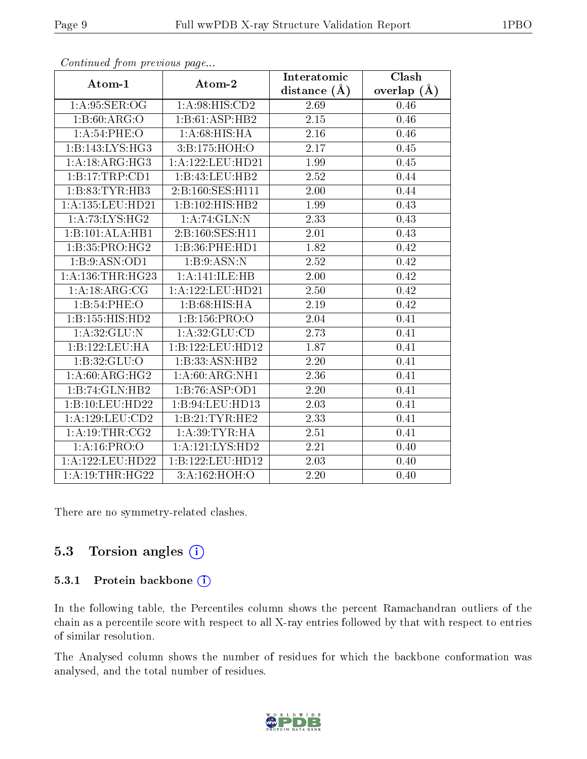| Atom-1                     | Atom-2                               | Interatomic       | Clash         |
|----------------------------|--------------------------------------|-------------------|---------------|
|                            |                                      | distance $(\AA)$  | overlap $(A)$ |
| 1: A:95: SER:OG            | 1: A:98: HIS: CD2                    | 2.69              | 0.46          |
| $1:B:60: \overline{ARG:O}$ | 1:B:61:ASP:HB2                       | 2.15              | 0.46          |
| 1:A:54:PHE:O               | 1: A:68: HIS: HA                     | 2.16              | 0.46          |
| 1:B:143:LYS:HG3            | 3:B:175:HOH:O                        | 2.17              | 0.45          |
| 1:A:18:ARG:HG3             | 1: A: 122: LEU: HD21                 | 1.99              | 0.45          |
| 1:B:17:TRP:CD1             | 1:B:43:LEU:HB2                       | 2.52              | 0.44          |
| 1:B:83:TYR:HB3             | $2:B:160:\overline{\text{SES:H}111}$ | 2.00              | 0.44          |
| 1:A:135:LEU:HD21           | 1:B:102:HIS:HB2                      | 1.99              | 0.43          |
| 1: A: 73: LYS: HG2         | 1:A:74:GLN:N                         | 2.33              | 0.43          |
| 1:B:101:ALA:HB1            | 2:B:160:SES:H11                      | 2.01              | 0.43          |
| 1:B:35:PRO:HG2             | 1:B:36:PHE:HD1                       | 1.82              | 0.42          |
| 1:B:9:ASN:OD1              | 1:B:9:ASN:N                          | 2.52              | 0.42          |
| 1: A: 136: THR: HG23       | 1:A:141:ILE:HB                       | 2.00              | 0.42          |
| 1:A:18:ARG:CG              | 1: A: 122: LEU: HD21                 | 2.50              | 0.42          |
| 1:B:54:PHE:O               | 1:B:68:HIS:HA                        | 2.19              | 0.42          |
| 1:B:155:HIS:HD2            | 1:B:156:PRO:O                        | 2.04              | 0.41          |
| 1: A:32: GLU:N             | 1: A:32: GLU:CD                      | 2.73              | 0.41          |
| 1:B:122:LEU:HA             | 1:B:122:LEU:HD12                     | 1.87              | 0.41          |
| 1:B:32:GLU:O               | 1:B:33:ASN:HB2                       | 2.20              | 0.41          |
| 1: A:60: ARG: HG2          | 1:A:60:ARG:NH1                       | 2.36              | 0.41          |
| 1:B:74:GLN:HB2             | 1:B:76:ASP:OD1                       | $\overline{2.20}$ | 0.41          |
| 1:B:10:LEU:HD22            | 1:B:94:LEU:HD13                      | 2.03              | 0.41          |
| 1:A:129:LEU:CD2            | 1:B:21:TYR:HE2                       | 2.33              | 0.41          |
| 1: A:19:THR:CG2            | 1: A:39:TYR:HA                       | 2.51              | 0.41          |
| 1:A:16:PRO:O               | 1:A:121:LYS:HD2                      | 2.21              | 0.40          |
| 1:A:122:LEU:HD22           | 1:B:122:LEU:HD12                     | 2.03              | 0.40          |
| 1:A:19:THR:HG22            | 3:A:162:HOH:O                        | 2.20              | 0.40          |

Continued from previous page...

There are no symmetry-related clashes.

#### 5.3 Torsion angles (i)

#### 5.3.1 Protein backbone (i)

In the following table, the Percentiles column shows the percent Ramachandran outliers of the chain as a percentile score with respect to all X-ray entries followed by that with respect to entries of similar resolution.

The Analysed column shows the number of residues for which the backbone conformation was analysed, and the total number of residues.

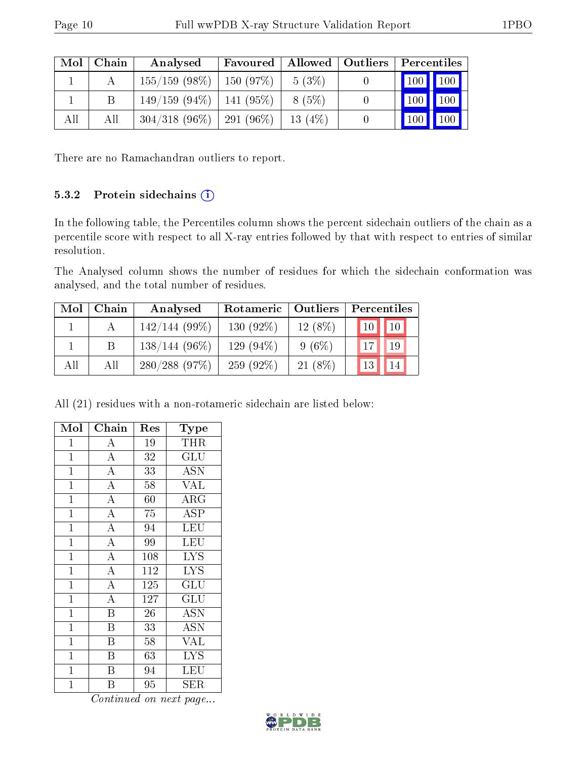| Mol | Chain | Analysed                      | Favoured |           | Allowed   Outliers   Percentiles     |
|-----|-------|-------------------------------|----------|-----------|--------------------------------------|
|     |       | $155/159$ (98\%)              | 150(97%) | $5(3\%)$  | $\mid$ 100 $\mid$ 100 $\mid$         |
|     |       | $149/159$ (94\%)   141 (95\%) |          | 8 (5%)    | $\vert$ 100 $\vert$<br>$ 100\rangle$ |
| All | All   | $304/318$ (96\%)   291 (96\%) |          | 13 $(4%)$ | $100 \mid$<br>$^{\prime}$ 100        |

There are no Ramachandran outliers to report.

#### 5.3.2 Protein sidechains  $(i)$

In the following table, the Percentiles column shows the percent sidechain outliers of the chain as a percentile score with respect to all X-ray entries followed by that with respect to entries of similar resolution.

The Analysed column shows the number of residues for which the sidechain conformation was analysed, and the total number of residues.

| Mol | Chain | Analysed         | Rotameric   Outliers |           | Percentiles     |             |
|-----|-------|------------------|----------------------|-----------|-----------------|-------------|
|     |       | $142/144(99\%)$  | 130 $(92\%)$         | $12(8\%)$ | 10              | $\sqrt{10}$ |
|     |       | $138/144(96\%)$  | 129 $(94\%)$         | $9(6\%)$  | 17              | 19          |
| All | All   | $280/288$ (97\%) | 259 $(92\%)$         | $21(8\%)$ | 13 <sub>1</sub> | 14          |

All (21) residues with a non-rotameric sidechain are listed below:

| Mol            | Chain                   | Res             | Type                      |
|----------------|-------------------------|-----------------|---------------------------|
| $\mathbf{1}$   | A                       | 19              | <b>THR</b>                |
| $\overline{1}$ | $\overline{A}$          | 32              | GLU                       |
| $\overline{1}$ | $\overline{\rm A}$      | $\overline{33}$ | $\overline{\mathrm{ASN}}$ |
| $\mathbf{1}$   | $\overline{\rm A}$      | 58              | <b>VAL</b>                |
| $\mathbf 1$    | $\overline{\rm A}$      | 60              | ARG                       |
| $\mathbf{1}$   | $\overline{A}$          | 75              | <b>ASP</b>                |
| $\mathbf 1$    | $\overline{\rm A}$      | 94              | LEU                       |
| $\mathbf 1$    | $\overline{\rm A}$      | 99              | LEU                       |
| $\mathbf 1$    | $\overline{\rm A}$      | 108             | <b>LYS</b>                |
| $\mathbf 1$    | $\overline{\rm A}$      | 112             | <b>LYS</b>                |
| $\mathbf 1$    | $\overline{A}$          | 125             | GLU                       |
| $\mathbf{1}$   | $\overline{\rm A}$      | 127             | GLU                       |
| $\mathbf 1$    | $\overline{\mathrm{B}}$ | 26              | <b>ASN</b>                |
| $\mathbf{1}$   | B                       | 33              | <b>ASN</b>                |
| $\mathbf 1$    | Β                       | 58              | VAL                       |
| 1              | B                       | 63              | $\overline{\text{LYS}}$   |
| $\mathbf 1$    | Β                       | 94              | LEU                       |
| $\overline{1}$ | Β                       | 95              | ${\rm SER}$               |

Continued on next page...

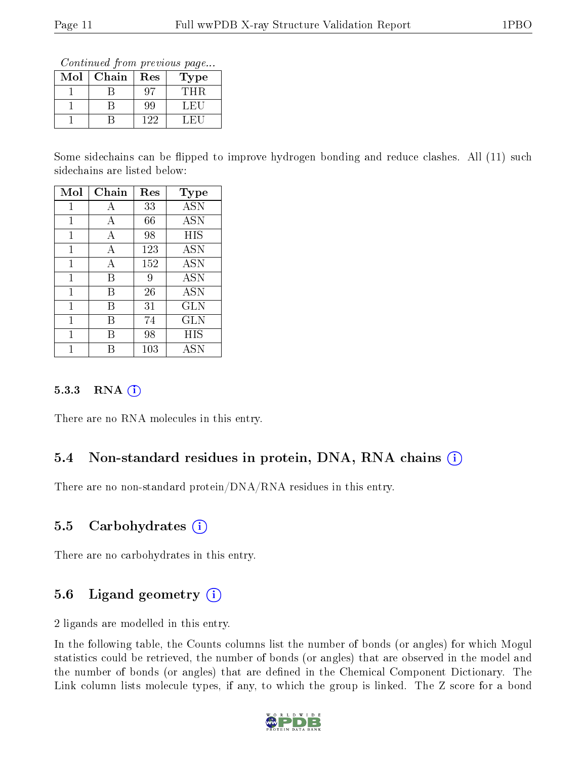Continued from previous page...

| $\operatorname{Mol}$ | Chain | Res | <b>Type</b> |
|----------------------|-------|-----|-------------|
|                      |       |     | THR         |
|                      |       | 99  | ∴H.         |
|                      |       | 122 |             |

Some sidechains can be flipped to improve hydrogen bonding and reduce clashes. All (11) such sidechains are listed below:

| Mol          | Chain | Res | $_{\rm Type}$ |
|--------------|-------|-----|---------------|
| 1            | А     | 33  | <b>ASN</b>    |
| $\mathbf{1}$ | А     | 66  | <b>ASN</b>    |
| 1            | А     | 98  | HIS           |
| 1            | А     | 123 | ASN           |
| 1            | А     | 152 | ASN           |
| 1            | В     | 9   | <b>ASN</b>    |
| 1            | В     | 26  | ASN           |
| 1            | В     | 31  | <b>GLN</b>    |
| 1            | В     | 74  | $_{\rm GLN}$  |
| 1            | R     | 98  | HIS           |
|              |       | 103 | ĀSN           |

#### 5.3.3 RNA (i)

There are no RNA molecules in this entry.

## 5.4 Non-standard residues in protein, DNA, RNA chains (i)

There are no non-standard protein/DNA/RNA residues in this entry.

## 5.5 Carbohydrates  $(i)$

There are no carbohydrates in this entry.

# 5.6 Ligand geometry  $(i)$

2 ligands are modelled in this entry.

In the following table, the Counts columns list the number of bonds (or angles) for which Mogul statistics could be retrieved, the number of bonds (or angles) that are observed in the model and the number of bonds (or angles) that are defined in the Chemical Component Dictionary. The Link column lists molecule types, if any, to which the group is linked. The Z score for a bond

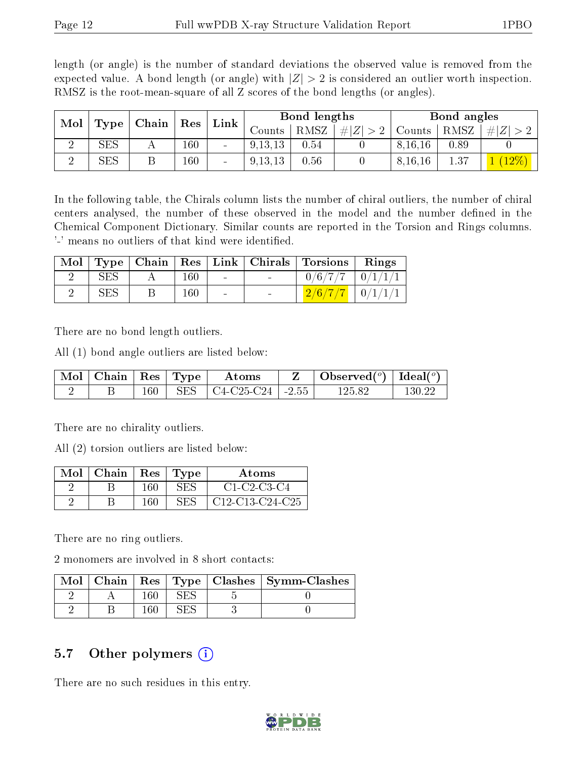length (or angle) is the number of standard deviations the observed value is removed from the expected value. A bond length (or angle) with  $|Z| > 2$  is considered an outlier worth inspection. RMSZ is the root-mean-square of all Z scores of the bond lengths (or angles).

| Mol | Type                 | Chain | Link  <br>$\operatorname{Res}$ |                          |           | Bond lengths |           |           | Bond angles |        |
|-----|----------------------|-------|--------------------------------|--------------------------|-----------|--------------|-----------|-----------|-------------|--------|
|     |                      |       |                                |                          | Jounts .  | RMSZ         | $\pm  Z $ | Counts    | RMSZ        | Ζ<br># |
|     | $\operatorname{SES}$ |       | 160                            | $\overline{\phantom{a}}$ | 9, 13, 13 | $0.54\,$     |           | 8, 16, 16 | 0.89        |        |
|     | $\operatorname{SES}$ |       | 160                            | $\sim$                   | 9, 13, 13 | 0.56         |           | 8, 16, 16 | 1.37        |        |

In the following table, the Chirals column lists the number of chiral outliers, the number of chiral centers analysed, the number of these observed in the model and the number defined in the Chemical Component Dictionary. Similar counts are reported in the Torsion and Rings columns. '-' means no outliers of that kind were identified.

|            |     |                    | Mol   Type   Chain   Res   Link   Chirals   Torsions   Rings |  |
|------------|-----|--------------------|--------------------------------------------------------------|--|
| <b>SES</b> | 160 |                    | $0/6/7/7$ $0/1/1/1$                                          |  |
| <b>SES</b> | 160 | the company of the | $\frac{2}{6}/7/7$ $\mid 0/1/1/1$                             |  |

There are no bond length outliers.

All (1) bond angle outliers are listed below:

| $\parallel$ Mol $\parallel$ Chain $\parallel$ Res $\parallel$ Type $\parallel$ |     | Atoms                                        | Observed <sup>(<math>^o</math>)</sup> [deal( $^o$ ) |        |
|--------------------------------------------------------------------------------|-----|----------------------------------------------|-----------------------------------------------------|--------|
|                                                                                | 160 | SES $\vert$ C4-C25-C24 $\vert$ -2.55 $\vert$ | 125.82                                              | 130.22 |

There are no chirality outliers.

All (2) torsion outliers are listed below:

| $Mol$   Chain   Res   Type |     |     | <b>Atoms</b>           |
|----------------------------|-----|-----|------------------------|
|                            | 160 | SES | $C1-C2-C3-C4$          |
|                            | 160 | SES | $\mid$ C12-C13-C24-C25 |

There are no ring outliers.

2 monomers are involved in 8 short contacts:

|  |  | Mol   Chain   Res   Type   Clashes   Symm-Clashes |
|--|--|---------------------------------------------------|
|  |  |                                                   |
|  |  |                                                   |

#### 5.7 [O](https://www.wwpdb.org/validation/2017/XrayValidationReportHelp#nonstandard_residues_and_ligands)ther polymers  $(i)$

There are no such residues in this entry.

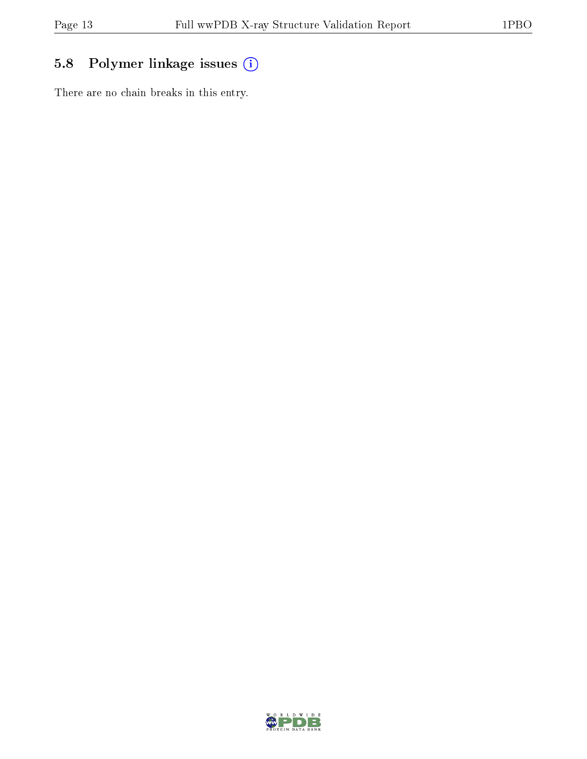# 5.8 Polymer linkage issues (i)

There are no chain breaks in this entry.